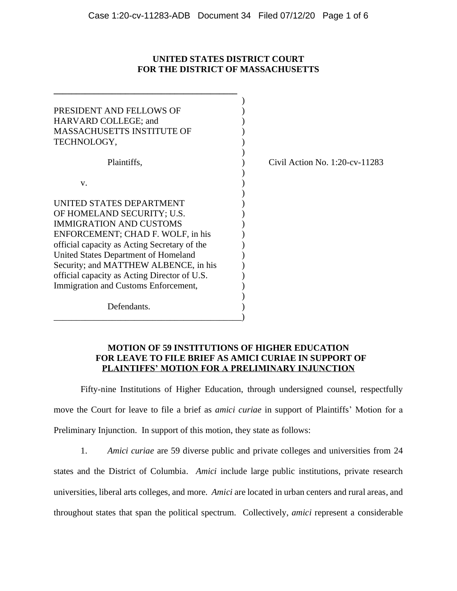# **UNITED STATES DISTRICT COURT FOR THE DISTRICT OF MASSACHUSETTS**

| PRESIDENT AND FELLOWS OF<br>HARVARD COLLEGE; and<br><b>MASSACHUSETTS INSTITUTE OF</b><br>TECHNOLOGY,                                                                                                                                                                                                                                                   |         |
|--------------------------------------------------------------------------------------------------------------------------------------------------------------------------------------------------------------------------------------------------------------------------------------------------------------------------------------------------------|---------|
| Plaintiffs,                                                                                                                                                                                                                                                                                                                                            | Civil A |
| V.                                                                                                                                                                                                                                                                                                                                                     |         |
| UNITED STATES DEPARTMENT<br>OF HOMELAND SECURITY; U.S.<br><b>IMMIGRATION AND CUSTOMS</b><br>ENFORCEMENT; CHAD F. WOLF, in his<br>official capacity as Acting Secretary of the<br>United States Department of Homeland<br>Security; and MATTHEW ALBENCE, in his<br>official capacity as Acting Director of U.S.<br>Immigration and Customs Enforcement, |         |
| Defendants.                                                                                                                                                                                                                                                                                                                                            |         |

ction No. 1:20-cv-11283

# **MOTION OF 59 INSTITUTIONS OF HIGHER EDUCATION FOR LEAVE TO FILE BRIEF AS AMICI CURIAE IN SUPPORT OF PLAINTIFFS' MOTION FOR A PRELIMINARY INJUNCTION**

Fifty-nine Institutions of Higher Education, through undersigned counsel, respectfully move the Court for leave to file a brief as *amici curiae* in support of Plaintiffs' Motion for a Preliminary Injunction. In support of this motion, they state as follows:

1. *Amici curiae* are 59 diverse public and private colleges and universities from 24

states and the District of Columbia. *Amici* include large public institutions, private research universities, liberal arts colleges, and more. *Amici* are located in urban centers and rural areas, and throughout states that span the political spectrum. Collectively, *amici* represent a considerable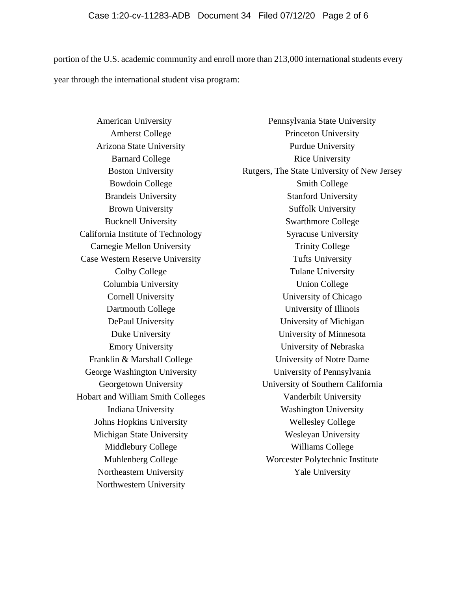portion of the U.S. academic community and enroll more than 213,000 international students every year through the international student visa program:

American University Amherst College Arizona State University Barnard College Boston University Bowdoin College Brandeis University Brown University Bucknell University California Institute of Technology Carnegie Mellon University Case Western Reserve University Colby College Columbia University Cornell University Dartmouth College DePaul University Duke University Emory University Franklin & Marshall College George Washington University Georgetown University Hobart and William Smith Colleges Indiana University Johns Hopkins University Michigan State University Middlebury College Muhlenberg College Northeastern University Northwestern University

Pennsylvania State University Princeton University Purdue University Rice University Rutgers, The State University of New Jersey Smith College Stanford University Suffolk University Swarthmore College Syracuse University Trinity College Tufts University Tulane University Union College University of Chicago University of Illinois University of Michigan University of Minnesota University of Nebraska University of Notre Dame University of Pennsylvania University of Southern California Vanderbilt University Washington University Wellesley College Wesleyan University Williams College Worcester Polytechnic Institute Yale University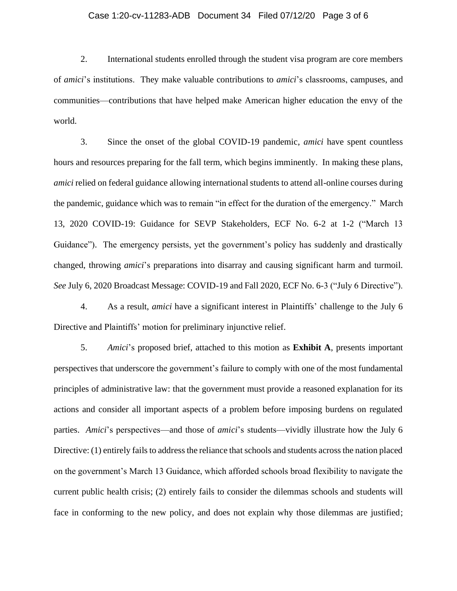# Case 1:20-cv-11283-ADB Document 34 Filed 07/12/20 Page 3 of 6

2. International students enrolled through the student visa program are core members of *amici*'s institutions. They make valuable contributions to *amici*'s classrooms, campuses, and communities—contributions that have helped make American higher education the envy of the world.

3. Since the onset of the global COVID-19 pandemic, *amici* have spent countless hours and resources preparing for the fall term, which begins imminently. In making these plans, *amici* relied on federal guidance allowing international students to attend all-online courses during the pandemic, guidance which was to remain "in effect for the duration of the emergency." March 13, 2020 COVID-19: Guidance for SEVP Stakeholders, ECF No. 6-2 at 1-2 ("March 13 Guidance"). The emergency persists, yet the government's policy has suddenly and drastically changed, throwing *amici*'s preparations into disarray and causing significant harm and turmoil. *See* July 6, 2020 Broadcast Message: COVID-19 and Fall 2020, ECF No. 6-3 ("July 6 Directive").

4. As a result, *amici* have a significant interest in Plaintiffs' challenge to the July 6 Directive and Plaintiffs' motion for preliminary injunctive relief.

5. *Amici*'s proposed brief, attached to this motion as **Exhibit A**, presents important perspectives that underscore the government's failure to comply with one of the most fundamental principles of administrative law: that the government must provide a reasoned explanation for its actions and consider all important aspects of a problem before imposing burdens on regulated parties. *Amici*'s perspectives—and those of *amici*'s students—vividly illustrate how the July 6 Directive: (1) entirely fails to address the reliance that schools and students across the nation placed on the government's March 13 Guidance, which afforded schools broad flexibility to navigate the current public health crisis; (2) entirely fails to consider the dilemmas schools and students will face in conforming to the new policy, and does not explain why those dilemmas are justified;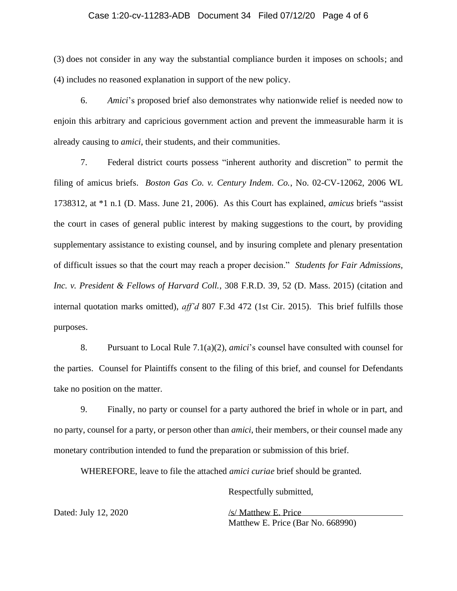#### Case 1:20-cv-11283-ADB Document 34 Filed 07/12/20 Page 4 of 6

(3) does not consider in any way the substantial compliance burden it imposes on schools; and (4) includes no reasoned explanation in support of the new policy.

6. *Amici*'s proposed brief also demonstrates why nationwide relief is needed now to enjoin this arbitrary and capricious government action and prevent the immeasurable harm it is already causing to *amici*, their students, and their communities.

7. Federal district courts possess "inherent authority and discretion" to permit the filing of amicus briefs. *Boston Gas Co. v. Century Indem. Co.*, No. 02-CV-12062, 2006 WL 1738312, at \*1 n.1 (D. Mass. June 21, 2006). As this Court has explained, *amicus* briefs "assist the court in cases of general public interest by making suggestions to the court, by providing supplementary assistance to existing counsel, and by insuring complete and plenary presentation of difficult issues so that the court may reach a proper decision." *Students for Fair Admissions, Inc. v. President & Fellows of Harvard Coll.*, 308 F.R.D. 39, 52 (D. Mass. 2015) (citation and internal quotation marks omitted), *aff'd* 807 F.3d 472 (1st Cir. 2015). This brief fulfills those purposes.

8. Pursuant to Local Rule 7.1(a)(2), *amici*'s counsel have consulted with counsel for the parties. Counsel for Plaintiffs consent to the filing of this brief, and counsel for Defendants take no position on the matter.

9. Finally, no party or counsel for a party authored the brief in whole or in part, and no party, counsel for a party, or person other than *amici*, their members, or their counsel made any monetary contribution intended to fund the preparation or submission of this brief.

WHEREFORE, leave to file the attached *amici curiae* brief should be granted.

Respectfully submitted,

Matthew E. Price (Bar No. 668990)

Dated: July 12, 2020 /s/ Matthew E. Price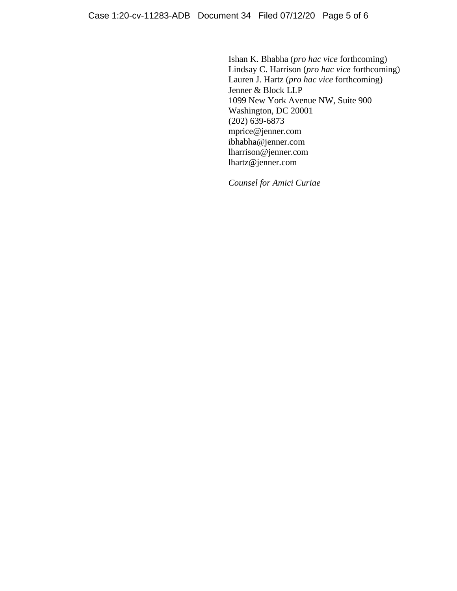Ishan K. Bhabha (*pro hac vice* forthcoming) Lindsay C. Harrison (*pro hac vice* forthcoming) Lauren J. Hartz (*pro hac vice* forthcoming) Jenner & Block LLP 1099 New York Avenue NW, Suite 900 Washington, DC 20001 (202) 639-6873 mprice@jenner.com ibhabha@jenner.com lharrison@jenner.com lhartz@jenner.com

*Counsel for Amici Curiae*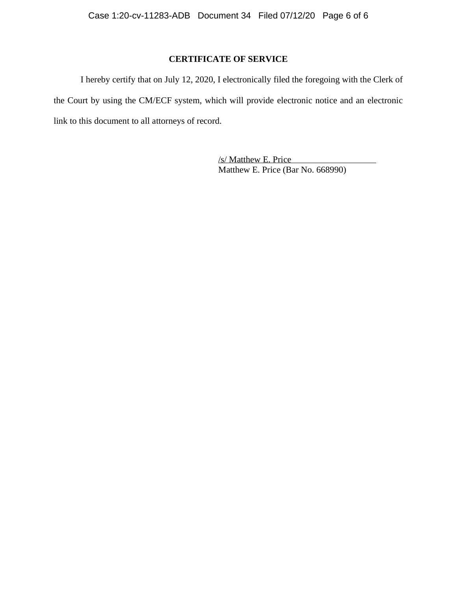# **CERTIFICATE OF SERVICE**

I hereby certify that on July 12, 2020, I electronically filed the foregoing with the Clerk of the Court by using the CM/ECF system, which will provide electronic notice and an electronic link to this document to all attorneys of record.

> /s/ Matthew E. Price Matthew E. Price (Bar No. 668990)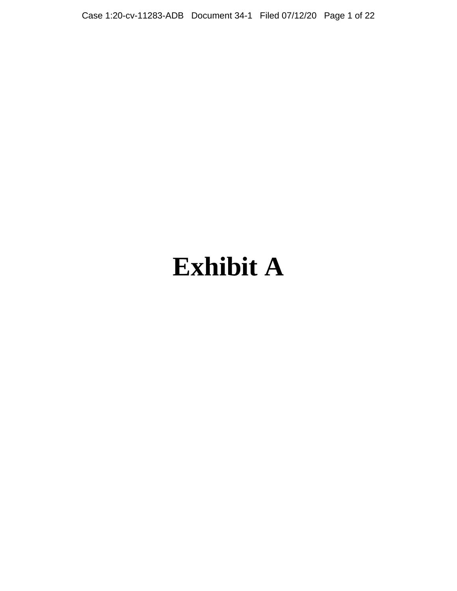Case 1:20-cv-11283-ADB Document 34-1 Filed 07/12/20 Page 1 of 22

# **Exhibit A**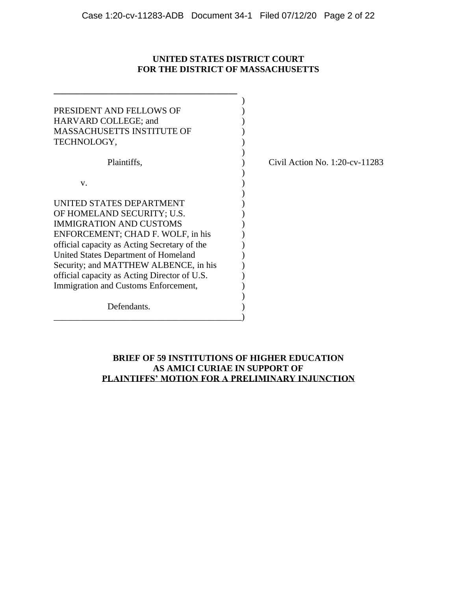# **UNITED STATES DISTRICT COURT FOR THE DISTRICT OF MASSACHUSETTS**

| PRESIDENT AND FELLOWS OF<br>HARVARD COLLEGE; and<br><b>MASSACHUSETTS INSTITUTE OF</b><br>TECHNOLOGY, |  |
|------------------------------------------------------------------------------------------------------|--|
|                                                                                                      |  |
| Plaintiffs,                                                                                          |  |
|                                                                                                      |  |
| v.                                                                                                   |  |
|                                                                                                      |  |
| UNITED STATES DEPARTMENT                                                                             |  |
| OF HOMELAND SECURITY; U.S.                                                                           |  |
| <b>IMMIGRATION AND CUSTOMS</b>                                                                       |  |
| ENFORCEMENT; CHAD F. WOLF, in his                                                                    |  |
| official capacity as Acting Secretary of the                                                         |  |
| United States Department of Homeland                                                                 |  |
| Security; and MATTHEW ALBENCE, in his                                                                |  |
| official capacity as Acting Director of U.S.                                                         |  |
| Immigration and Customs Enforcement,                                                                 |  |
|                                                                                                      |  |
| Defendants.                                                                                          |  |
|                                                                                                      |  |

ivil Action No.  $1:20$ -cv- $11283$ 

# **BRIEF OF 59 INSTITUTIONS OF HIGHER EDUCATION AS AMICI CURIAE IN SUPPORT OF PLAINTIFFS' MOTION FOR A PRELIMINARY INJUNCTION**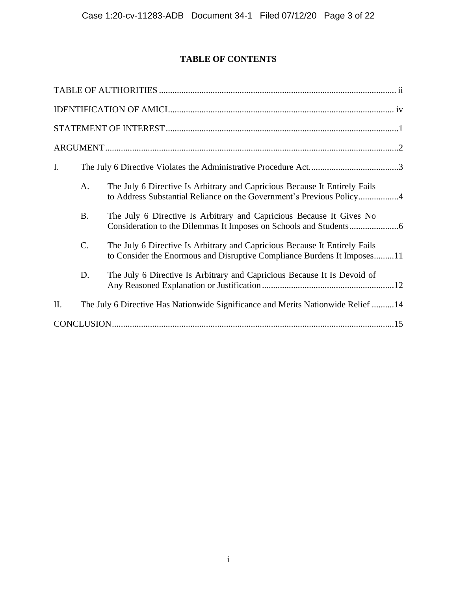# **TABLE OF CONTENTS**

| $I_{\cdot}$ |           |                                                                                                                                                       |
|-------------|-----------|-------------------------------------------------------------------------------------------------------------------------------------------------------|
|             | A.        | The July 6 Directive Is Arbitrary and Capricious Because It Entirely Fails<br>to Address Substantial Reliance on the Government's Previous Policy4    |
|             | <b>B.</b> | The July 6 Directive Is Arbitrary and Capricious Because It Gives No                                                                                  |
|             | C.        | The July 6 Directive Is Arbitrary and Capricious Because It Entirely Fails<br>to Consider the Enormous and Disruptive Compliance Burdens It Imposes11 |
|             | D.        | The July 6 Directive Is Arbitrary and Capricious Because It Is Devoid of                                                                              |
| II.         |           | The July 6 Directive Has Nationwide Significance and Merits Nationwide Relief 14                                                                      |
|             |           |                                                                                                                                                       |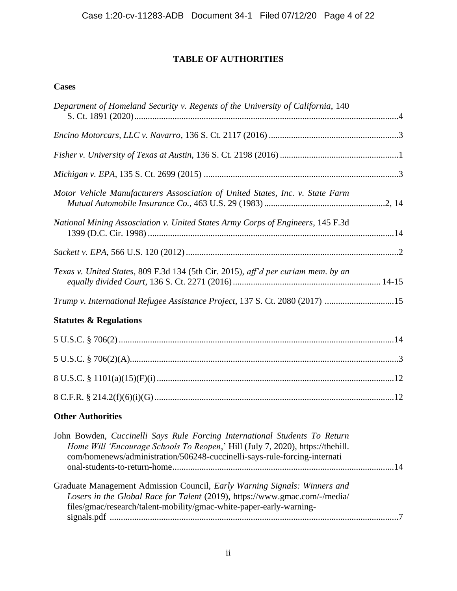# **TABLE OF AUTHORITIES**

# **Cases**

| Department of Homeland Security v. Regents of the University of California, 140                                                                                                                                                           |  |
|-------------------------------------------------------------------------------------------------------------------------------------------------------------------------------------------------------------------------------------------|--|
|                                                                                                                                                                                                                                           |  |
|                                                                                                                                                                                                                                           |  |
|                                                                                                                                                                                                                                           |  |
| Motor Vehicle Manufacturers Assosciation of United States, Inc. v. State Farm                                                                                                                                                             |  |
| National Mining Assosciation v. United States Army Corps of Engineers, 145 F.3d                                                                                                                                                           |  |
|                                                                                                                                                                                                                                           |  |
| Texas v. United States, 809 F.3d 134 (5th Cir. 2015), aff'd per curiam mem. by an                                                                                                                                                         |  |
| Trump v. International Refugee Assistance Project, 137 S. Ct. 2080 (2017) 15                                                                                                                                                              |  |
| <b>Statutes &amp; Regulations</b>                                                                                                                                                                                                         |  |
|                                                                                                                                                                                                                                           |  |
|                                                                                                                                                                                                                                           |  |
|                                                                                                                                                                                                                                           |  |
|                                                                                                                                                                                                                                           |  |
| <b>Other Authorities</b>                                                                                                                                                                                                                  |  |
| John Bowden, Cuccinelli Says Rule Forcing International Students To Return<br>Home Will 'Encourage Schools To Reopen,' Hill (July 7, 2020), https://thehill.<br>com/homenews/administration/506248-cuccinelli-says-rule-forcing-internati |  |
| Graduate Management Admission Council, Early Warning Signals: Winners and<br>Losers in the Global Race for Talent (2019), https://www.gmac.com/-/media/<br>files/gmac/research/talent-mobility/gmac-white-paper-early-warning-            |  |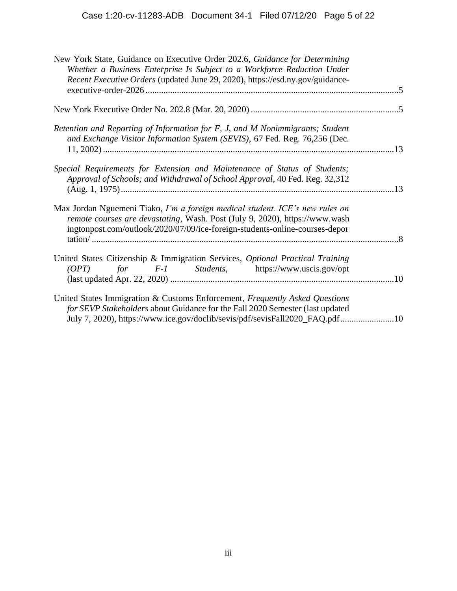| New York State, Guidance on Executive Order 202.6, Guidance for Determining<br>Whether a Business Enterprise Is Subject to a Workforce Reduction Under<br>Recent Executive Orders (updated June 29, 2020), https://esd.ny.gov/guidance-     |  |
|---------------------------------------------------------------------------------------------------------------------------------------------------------------------------------------------------------------------------------------------|--|
|                                                                                                                                                                                                                                             |  |
| Retention and Reporting of Information for F, J, and M Nonimmigrants; Student<br>and Exchange Visitor Information System (SEVIS), 67 Fed. Reg. 76,256 (Dec.                                                                                 |  |
| Special Requirements for Extension and Maintenance of Status of Students;<br>Approval of Schools; and Withdrawal of School Approval, 40 Fed. Reg. 32,312                                                                                    |  |
| Max Jordan Nguemeni Tiako, I'm a foreign medical student. ICE's new rules on<br>remote courses are devastating, Wash. Post (July 9, 2020), https://www.wash<br>ingtonpost.com/outlook/2020/07/09/ice-foreign-students-online-courses-depor  |  |
| United States Citizenship & Immigration Services, Optional Practical Training<br><i>F-1</i> Students, https://www.uscis.gov/opt<br>for<br>(OPT)                                                                                             |  |
| United States Immigration & Customs Enforcement, Frequently Asked Questions<br>for SEVP Stakeholders about Guidance for the Fall 2020 Semester (last updated<br>July 7, 2020), https://www.ice.gov/doclib/sevis/pdf/sevisFall2020_FAQ.pdf10 |  |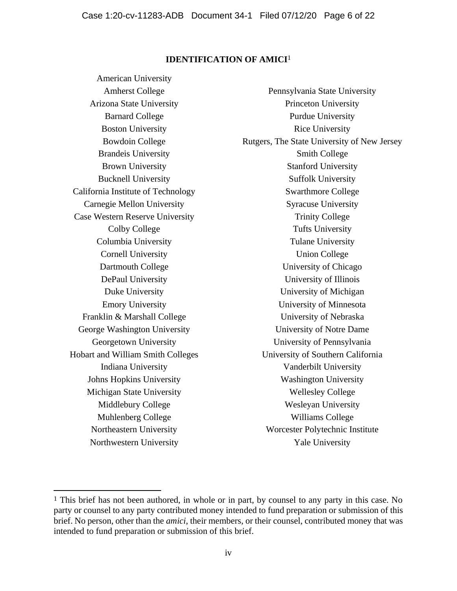## **IDENTIFICATION OF AMICI**1

American University Amherst College Arizona State University Barnard College Boston University Bowdoin College Brandeis University Brown University Bucknell University California Institute of Technology Carnegie Mellon University Case Western Reserve University Colby College Columbia University Cornell University Dartmouth College DePaul University Duke University Emory University Franklin & Marshall College George Washington University Georgetown University Hobart and William Smith Colleges Indiana University Johns Hopkins University Michigan State University Middlebury College Muhlenberg College Northeastern University Northwestern University

Pennsylvania State University Princeton University Purdue University Rice University Rutgers, The State University of New Jersey Smith College Stanford University Suffolk University Swarthmore College Syracuse University Trinity College Tufts University Tulane University Union College University of Chicago University of Illinois University of Michigan University of Minnesota University of Nebraska University of Notre Dame University of Pennsylvania University of Southern California Vanderbilt University Washington University Wellesley College Wesleyan University Williams College Worcester Polytechnic Institute Yale University

<sup>1</sup> This brief has not been authored, in whole or in part, by counsel to any party in this case. No party or counsel to any party contributed money intended to fund preparation or submission of this brief. No person, other than the *amici*, their members, or their counsel, contributed money that was intended to fund preparation or submission of this brief.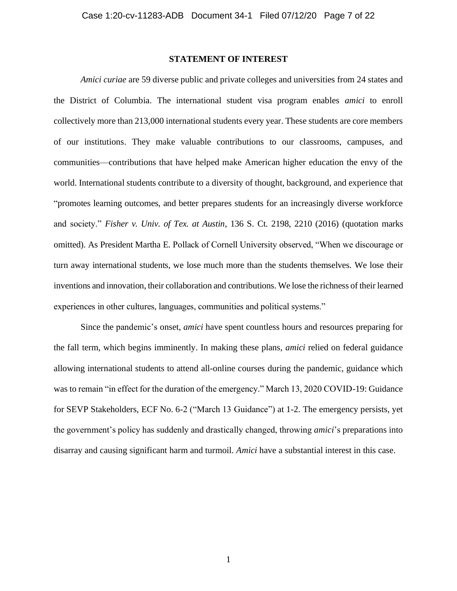#### **STATEMENT OF INTEREST**

*Amici curiae* are 59 diverse public and private colleges and universities from 24 states and the District of Columbia. The international student visa program enables *amici* to enroll collectively more than 213,000 international students every year. These students are core members of our institutions. They make valuable contributions to our classrooms, campuses, and communities—contributions that have helped make American higher education the envy of the world. International students contribute to a diversity of thought, background, and experience that "promotes learning outcomes, and better prepares students for an increasingly diverse workforce and society." *Fisher v. Univ. of Tex. at Austin*, 136 S. Ct. 2198, 2210 (2016) (quotation marks omitted). As President Martha E. Pollack of Cornell University observed, "When we discourage or turn away international students, we lose much more than the students themselves. We lose their inventions and innovation, their collaboration and contributions. We lose the richness of their learned experiences in other cultures, languages, communities and political systems."

Since the pandemic's onset, *amici* have spent countless hours and resources preparing for the fall term, which begins imminently. In making these plans, *amici* relied on federal guidance allowing international students to attend all-online courses during the pandemic, guidance which was to remain "in effect for the duration of the emergency." March 13, 2020 COVID-19: Guidance for SEVP Stakeholders, ECF No. 6-2 ("March 13 Guidance") at 1-2. The emergency persists, yet the government's policy has suddenly and drastically changed, throwing *amici*'s preparations into disarray and causing significant harm and turmoil. *Amici* have a substantial interest in this case.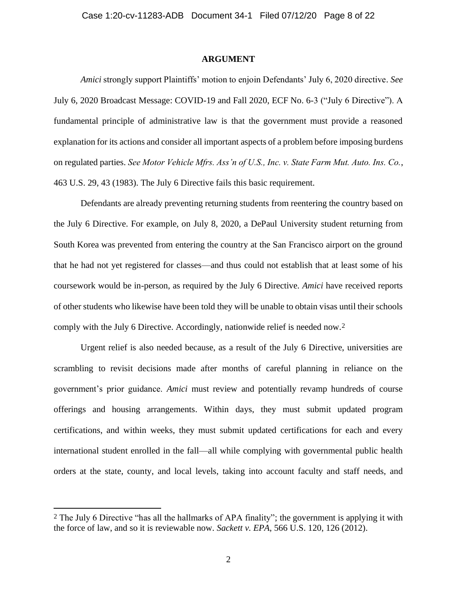#### **ARGUMENT**

*Amici* strongly support Plaintiffs' motion to enjoin Defendants' July 6, 2020 directive. *See*  July 6, 2020 Broadcast Message: COVID-19 and Fall 2020, ECF No. 6-3 ("July 6 Directive"). A fundamental principle of administrative law is that the government must provide a reasoned explanation for its actions and consider all important aspects of a problem before imposing burdens on regulated parties. *See Motor Vehicle Mfrs. Ass'n of U.S., Inc. v. State Farm Mut. Auto. Ins. Co.*, 463 U.S. 29, 43 (1983). The July 6 Directive fails this basic requirement.

Defendants are already preventing returning students from reentering the country based on the July 6 Directive. For example, on July 8, 2020, a DePaul University student returning from South Korea was prevented from entering the country at the San Francisco airport on the ground that he had not yet registered for classes—and thus could not establish that at least some of his coursework would be in-person, as required by the July 6 Directive. *Amici* have received reports of other students who likewise have been told they will be unable to obtain visas until their schools comply with the July 6 Directive. Accordingly, nationwide relief is needed now.2

Urgent relief is also needed because, as a result of the July 6 Directive, universities are scrambling to revisit decisions made after months of careful planning in reliance on the government's prior guidance. *Amici* must review and potentially revamp hundreds of course offerings and housing arrangements. Within days, they must submit updated program certifications, and within weeks, they must submit updated certifications for each and every international student enrolled in the fall—all while complying with governmental public health orders at the state, county, and local levels, taking into account faculty and staff needs, and

<sup>2</sup> The July 6 Directive "has all the hallmarks of APA finality"; the government is applying it with the force of law, and so it is reviewable now. *Sackett v. EPA*, 566 U.S. 120, 126 (2012).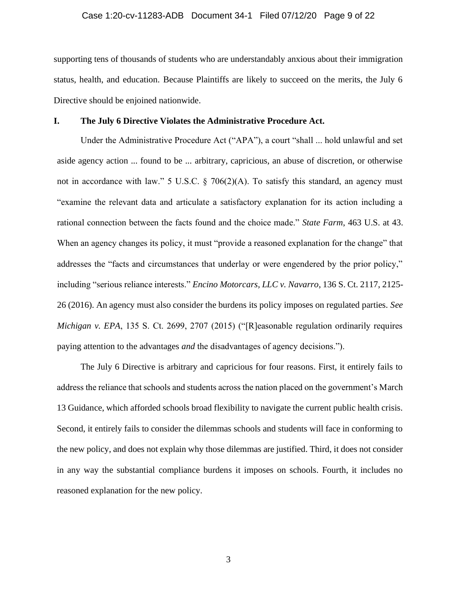# Case 1:20-cv-11283-ADB Document 34-1 Filed 07/12/20 Page 9 of 22

supporting tens of thousands of students who are understandably anxious about their immigration status, health, and education. Because Plaintiffs are likely to succeed on the merits, the July 6 Directive should be enjoined nationwide.

#### **I. The July 6 Directive Violates the Administrative Procedure Act.**

Under the Administrative Procedure Act ("APA"), a court "shall ... hold unlawful and set aside agency action ... found to be ... arbitrary, capricious, an abuse of discretion, or otherwise not in accordance with law." 5 U.S.C. § 706(2)(A). To satisfy this standard, an agency must "examine the relevant data and articulate a satisfactory explanation for its action including a rational connection between the facts found and the choice made." *State Farm*, 463 U.S. at 43. When an agency changes its policy, it must "provide a reasoned explanation for the change" that addresses the "facts and circumstances that underlay or were engendered by the prior policy," including "serious reliance interests." *Encino Motorcars, LLC v. Navarro*, 136 S. Ct. 2117, 2125- 26 (2016). An agency must also consider the burdens its policy imposes on regulated parties. *See Michigan v. EPA*, 135 S. Ct. 2699, 2707 (2015) ("[R]easonable regulation ordinarily requires paying attention to the advantages *and* the disadvantages of agency decisions.").

The July 6 Directive is arbitrary and capricious for four reasons. First, it entirely fails to address the reliance that schools and students across the nation placed on the government's March 13 Guidance, which afforded schools broad flexibility to navigate the current public health crisis. Second, it entirely fails to consider the dilemmas schools and students will face in conforming to the new policy, and does not explain why those dilemmas are justified. Third, it does not consider in any way the substantial compliance burdens it imposes on schools. Fourth, it includes no reasoned explanation for the new policy.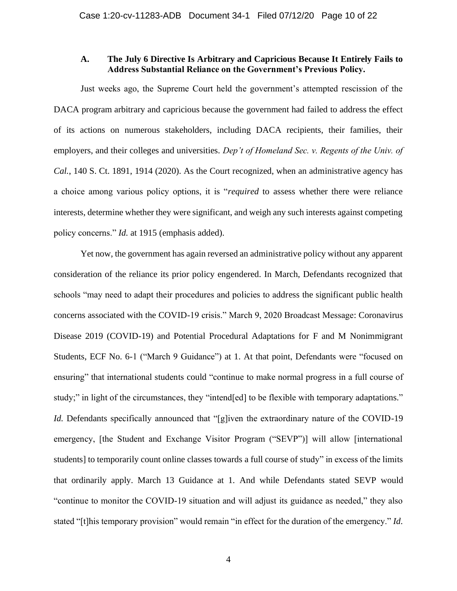## **A. The July 6 Directive Is Arbitrary and Capricious Because It Entirely Fails to Address Substantial Reliance on the Government's Previous Policy.**

Just weeks ago, the Supreme Court held the government's attempted rescission of the DACA program arbitrary and capricious because the government had failed to address the effect of its actions on numerous stakeholders, including DACA recipients, their families, their employers, and their colleges and universities. *Dep't of Homeland Sec. v. Regents of the Univ. of Cal.*, 140 S. Ct. 1891, 1914 (2020). As the Court recognized, when an administrative agency has a choice among various policy options, it is "*required* to assess whether there were reliance interests, determine whether they were significant, and weigh any such interests against competing policy concerns." *Id.* at 1915 (emphasis added).

Yet now, the government has again reversed an administrative policy without any apparent consideration of the reliance its prior policy engendered. In March, Defendants recognized that schools "may need to adapt their procedures and policies to address the significant public health concerns associated with the COVID-19 crisis." March 9, 2020 Broadcast Message: Coronavirus Disease 2019 (COVID-19) and Potential Procedural Adaptations for F and M Nonimmigrant Students, ECF No. 6-1 ("March 9 Guidance") at 1. At that point, Defendants were "focused on ensuring" that international students could "continue to make normal progress in a full course of study;" in light of the circumstances, they "intend[ed] to be flexible with temporary adaptations." *Id.* Defendants specifically announced that "[g]iven the extraordinary nature of the COVID-19 emergency, [the Student and Exchange Visitor Program ("SEVP")] will allow [international students] to temporarily count online classes towards a full course of study" in excess of the limits that ordinarily apply. March 13 Guidance at 1. And while Defendants stated SEVP would "continue to monitor the COVID-19 situation and will adjust its guidance as needed," they also stated "[t]his temporary provision" would remain "in effect for the duration of the emergency." *Id*.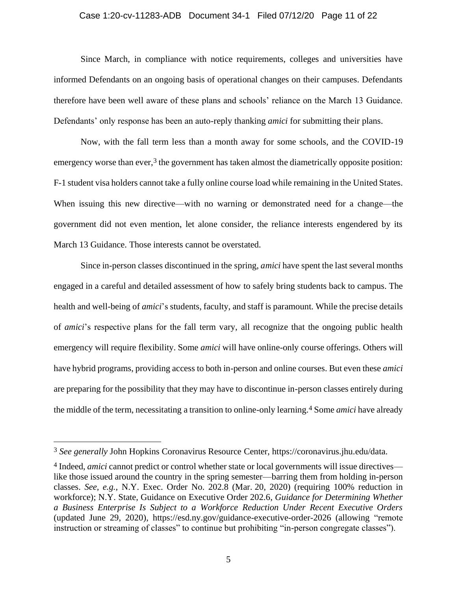#### Case 1:20-cv-11283-ADB Document 34-1 Filed 07/12/20 Page 11 of 22

Since March, in compliance with notice requirements, colleges and universities have informed Defendants on an ongoing basis of operational changes on their campuses. Defendants therefore have been well aware of these plans and schools' reliance on the March 13 Guidance. Defendants' only response has been an auto-reply thanking *amici* for submitting their plans.

Now, with the fall term less than a month away for some schools, and the COVID-19 emergency worse than ever, $3$  the government has taken almost the diametrically opposite position: F-1 student visa holders cannot take a fully online course load while remaining in the United States. When issuing this new directive—with no warning or demonstrated need for a change—the government did not even mention, let alone consider, the reliance interests engendered by its March 13 Guidance. Those interests cannot be overstated.

Since in-person classes discontinued in the spring, *amici* have spent the last several months engaged in a careful and detailed assessment of how to safely bring students back to campus. The health and well-being of *amici*'s students, faculty, and staff is paramount. While the precise details of *amici*'s respective plans for the fall term vary, all recognize that the ongoing public health emergency will require flexibility. Some *amici* will have online-only course offerings. Others will have hybrid programs, providing access to both in-person and online courses. But even these *amici*  are preparing for the possibility that they may have to discontinue in-person classes entirely during the middle of the term, necessitating a transition to online-only learning.4 Some *amici* have already

<sup>3</sup> *See generally* John Hopkins Coronavirus Resource Center, https://coronavirus.jhu.edu/data.

<sup>4</sup> Indeed, *amici* cannot predict or control whether state or local governments will issue directives like those issued around the country in the spring semester—barring them from holding in-person classes. *See, e.g.*, N.Y. Exec. Order No. 202.8 (Mar. 20, 2020) (requiring 100% reduction in workforce); N.Y. State, Guidance on Executive Order 202.6, *Guidance for Determining Whether a Business Enterprise Is Subject to a Workforce Reduction Under Recent Executive Orders* (updated June 29, 2020), https://esd.ny.gov/guidance-executive-order-2026 (allowing "remote instruction or streaming of classes" to continue but prohibiting "in-person congregate classes").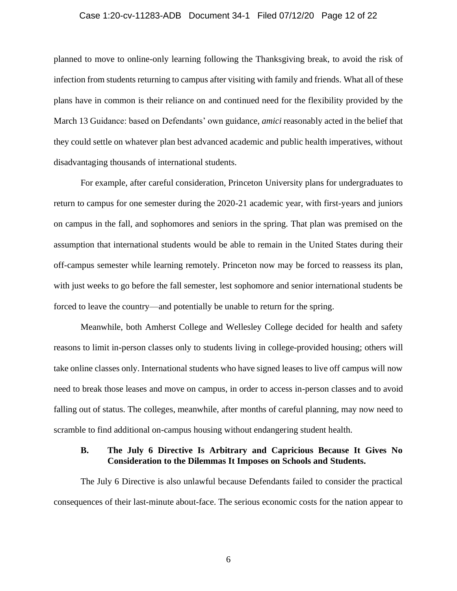#### Case 1:20-cv-11283-ADB Document 34-1 Filed 07/12/20 Page 12 of 22

planned to move to online-only learning following the Thanksgiving break, to avoid the risk of infection from students returning to campus after visiting with family and friends. What all of these plans have in common is their reliance on and continued need for the flexibility provided by the March 13 Guidance: based on Defendants' own guidance, *amici* reasonably acted in the belief that they could settle on whatever plan best advanced academic and public health imperatives, without disadvantaging thousands of international students.

For example, after careful consideration, Princeton University plans for undergraduates to return to campus for one semester during the 2020-21 academic year, with first-years and juniors on campus in the fall, and sophomores and seniors in the spring. That plan was premised on the assumption that international students would be able to remain in the United States during their off-campus semester while learning remotely. Princeton now may be forced to reassess its plan, with just weeks to go before the fall semester, lest sophomore and senior international students be forced to leave the country—and potentially be unable to return for the spring.

Meanwhile, both Amherst College and Wellesley College decided for health and safety reasons to limit in-person classes only to students living in college-provided housing; others will take online classes only. International students who have signed leases to live off campus will now need to break those leases and move on campus, in order to access in-person classes and to avoid falling out of status. The colleges, meanwhile, after months of careful planning, may now need to scramble to find additional on-campus housing without endangering student health.

# **B. The July 6 Directive Is Arbitrary and Capricious Because It Gives No Consideration to the Dilemmas It Imposes on Schools and Students.**

The July 6 Directive is also unlawful because Defendants failed to consider the practical consequences of their last-minute about-face. The serious economic costs for the nation appear to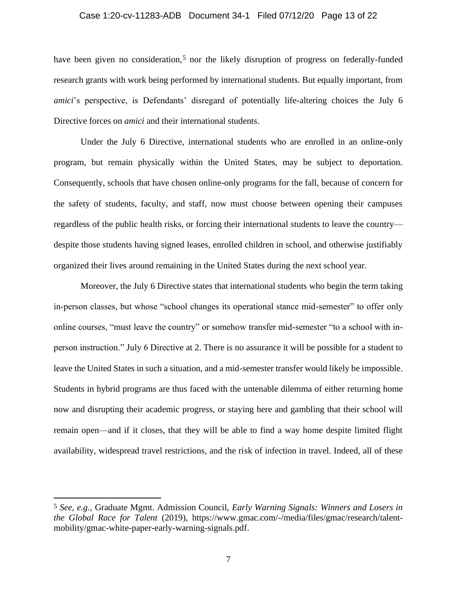#### Case 1:20-cv-11283-ADB Document 34-1 Filed 07/12/20 Page 13 of 22

have been given no consideration,<sup>5</sup> nor the likely disruption of progress on federally-funded research grants with work being performed by international students. But equally important, from *amici*'s perspective, is Defendants' disregard of potentially life-altering choices the July 6 Directive forces on *amici* and their international students.

Under the July 6 Directive, international students who are enrolled in an online-only program, but remain physically within the United States, may be subject to deportation. Consequently, schools that have chosen online-only programs for the fall, because of concern for the safety of students, faculty, and staff, now must choose between opening their campuses regardless of the public health risks, or forcing their international students to leave the country despite those students having signed leases, enrolled children in school, and otherwise justifiably organized their lives around remaining in the United States during the next school year.

Moreover, the July 6 Directive states that international students who begin the term taking in-person classes, but whose "school changes its operational stance mid-semester" to offer only online courses, "must leave the country" or somehow transfer mid-semester "to a school with inperson instruction." July 6 Directive at 2. There is no assurance it will be possible for a student to leave the United States in such a situation, and a mid-semester transfer would likely be impossible. Students in hybrid programs are thus faced with the untenable dilemma of either returning home now and disrupting their academic progress, or staying here and gambling that their school will remain open—and if it closes, that they will be able to find a way home despite limited flight availability, widespread travel restrictions, and the risk of infection in travel. Indeed, all of these

<sup>5</sup> *See, e.g.*, Graduate Mgmt. Admission Council, *Early Warning Signals: Winners and Losers in the Global Race for Talent* (2019), https://www.gmac.com/-/media/files/gmac/research/talentmobility/gmac-white-paper-early-warning-signals.pdf.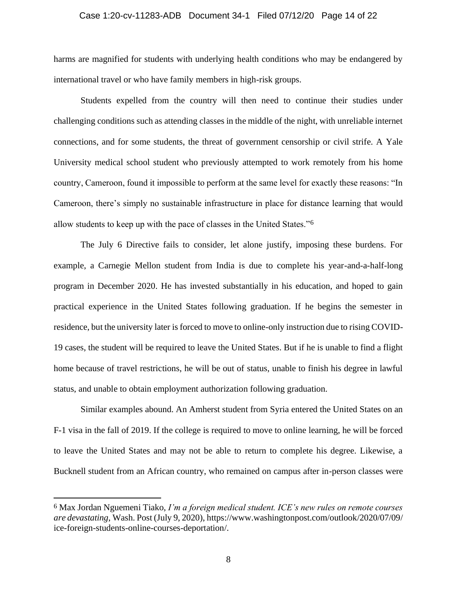#### Case 1:20-cv-11283-ADB Document 34-1 Filed 07/12/20 Page 14 of 22

harms are magnified for students with underlying health conditions who may be endangered by international travel or who have family members in high-risk groups.

Students expelled from the country will then need to continue their studies under challenging conditions such as attending classes in the middle of the night, with unreliable internet connections, and for some students, the threat of government censorship or civil strife. A Yale University medical school student who previously attempted to work remotely from his home country, Cameroon, found it impossible to perform at the same level for exactly these reasons: "In Cameroon, there's simply no sustainable infrastructure in place for distance learning that would allow students to keep up with the pace of classes in the United States."6

The July 6 Directive fails to consider, let alone justify, imposing these burdens. For example, a Carnegie Mellon student from India is due to complete his year-and-a-half-long program in December 2020. He has invested substantially in his education, and hoped to gain practical experience in the United States following graduation. If he begins the semester in residence, but the university later is forced to move to online-only instruction due to rising COVID-19 cases, the student will be required to leave the United States. But if he is unable to find a flight home because of travel restrictions, he will be out of status, unable to finish his degree in lawful status, and unable to obtain employment authorization following graduation.

Similar examples abound. An Amherst student from Syria entered the United States on an F-1 visa in the fall of 2019. If the college is required to move to online learning, he will be forced to leave the United States and may not be able to return to complete his degree. Likewise, a Bucknell student from an African country, who remained on campus after in-person classes were

<sup>6</sup> Max Jordan Nguemeni Tiako, *I'm a foreign medical student. ICE's new rules on remote courses are devastating*, Wash. Post (July 9, 2020), https://www.washingtonpost.com/outlook/2020/07/09/ ice-foreign-students-online-courses-deportation/.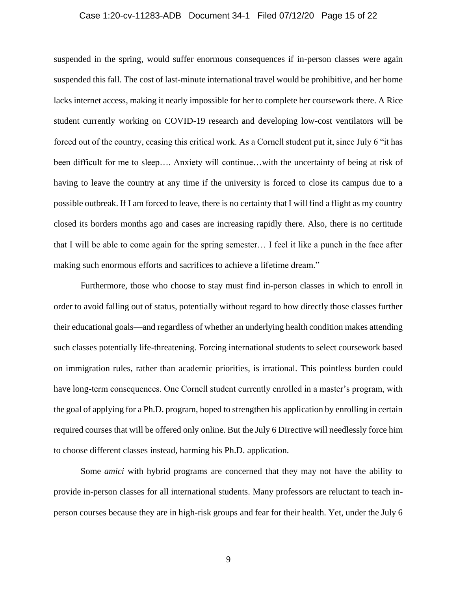#### Case 1:20-cv-11283-ADB Document 34-1 Filed 07/12/20 Page 15 of 22

suspended in the spring, would suffer enormous consequences if in-person classes were again suspended this fall. The cost of last-minute international travel would be prohibitive, and her home lacks internet access, making it nearly impossible for her to complete her coursework there. A Rice student currently working on COVID-19 research and developing low-cost ventilators will be forced out of the country, ceasing this critical work. As a Cornell student put it, since July 6 "it has been difficult for me to sleep…. Anxiety will continue…with the uncertainty of being at risk of having to leave the country at any time if the university is forced to close its campus due to a possible outbreak. If I am forced to leave, there is no certainty that I will find a flight as my country closed its borders months ago and cases are increasing rapidly there. Also, there is no certitude that I will be able to come again for the spring semester… I feel it like a punch in the face after making such enormous efforts and sacrifices to achieve a lifetime dream."

Furthermore, those who choose to stay must find in-person classes in which to enroll in order to avoid falling out of status, potentially without regard to how directly those classes further their educational goals—and regardless of whether an underlying health condition makes attending such classes potentially life-threatening. Forcing international students to select coursework based on immigration rules, rather than academic priorities, is irrational. This pointless burden could have long-term consequences. One Cornell student currently enrolled in a master's program, with the goal of applying for a Ph.D. program, hoped to strengthen his application by enrolling in certain required courses that will be offered only online. But the July 6 Directive will needlessly force him to choose different classes instead, harming his Ph.D. application.

Some *amici* with hybrid programs are concerned that they may not have the ability to provide in-person classes for all international students. Many professors are reluctant to teach inperson courses because they are in high-risk groups and fear for their health. Yet, under the July 6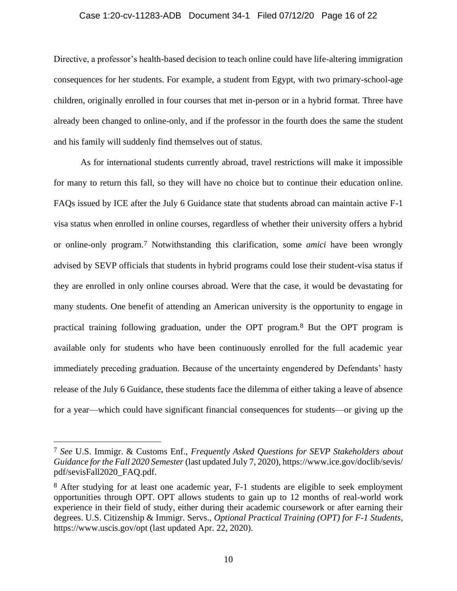#### Case 1:20-cv-11283-ADB Document 34-1 Filed 07/12/20 Page 16 of 22

Directive, a professor's health-based decision to teach online could have life-altering immigration consequences for her students. For example, a student from Egypt, with two primary-school-age children, originally enrolled in four courses that met in-person or in a hybrid format. Three have already been changed to online-only, and if the professor in the fourth does the same the student and his family will suddenly find themselves out of status.

As for international students currently abroad, travel restrictions will make it impossible for many to return this fall, so they will have no choice but to continue their education online. FAQs issued by ICE after the July 6 Guidance state that students abroad can maintain active F-1 visa status when enrolled in online courses, regardless of whether their university offers a hybrid or online-only program.7 Notwithstanding this clarification, some *amici* have been wrongly advised by SEVP officials that students in hybrid programs could lose their student-visa status if they are enrolled in only online courses abroad. Were that the case, it would be devastating for many students. One benefit of attending an American university is the opportunity to engage in practical training following graduation, under the OPT program.8 But the OPT program is available only for students who have been continuously enrolled for the full academic year immediately preceding graduation. Because of the uncertainty engendered by Defendants' hasty release of the July 6 Guidance, these students face the dilemma of either taking a leave of absence for a year—which could have significant financial consequences for students—or giving up the

<sup>7</sup> *See* U.S. Immigr. & Customs Enf., *Frequently Asked Questions for SEVP Stakeholders about Guidance for the Fall 2020 Semester* (last updated July 7, 2020), https://www.ice.gov/doclib/sevis/ pdf/sevisFall2020\_FAQ.pdf.

<sup>8</sup> After studying for at least one academic year, F-1 students are eligible to seek employment opportunities through OPT. OPT allows students to gain up to 12 months of real-world work experience in their field of study, either during their academic coursework or after earning their degrees. U.S. Citizenship & Immigr. Servs., *Optional Practical Training (OPT) for F-1 Students*, https://www.uscis.gov/opt (last updated Apr. 22, 2020).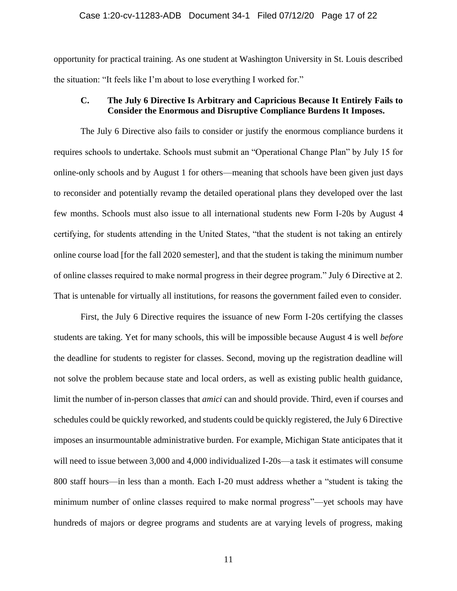#### Case 1:20-cv-11283-ADB Document 34-1 Filed 07/12/20 Page 17 of 22

opportunity for practical training. As one student at Washington University in St. Louis described the situation: "It feels like I'm about to lose everything I worked for."

#### **C. The July 6 Directive Is Arbitrary and Capricious Because It Entirely Fails to Consider the Enormous and Disruptive Compliance Burdens It Imposes.**

The July 6 Directive also fails to consider or justify the enormous compliance burdens it requires schools to undertake. Schools must submit an "Operational Change Plan" by July 15 for online-only schools and by August 1 for others—meaning that schools have been given just days to reconsider and potentially revamp the detailed operational plans they developed over the last few months. Schools must also issue to all international students new Form I-20s by August 4 certifying, for students attending in the United States, "that the student is not taking an entirely online course load [for the fall 2020 semester], and that the student is taking the minimum number of online classes required to make normal progress in their degree program." July 6 Directive at 2. That is untenable for virtually all institutions, for reasons the government failed even to consider.

First, the July 6 Directive requires the issuance of new Form I-20s certifying the classes students are taking. Yet for many schools, this will be impossible because August 4 is well *before* the deadline for students to register for classes. Second, moving up the registration deadline will not solve the problem because state and local orders, as well as existing public health guidance, limit the number of in-person classes that *amici* can and should provide. Third, even if courses and schedules could be quickly reworked, and students could be quickly registered, the July 6 Directive imposes an insurmountable administrative burden. For example, Michigan State anticipates that it will need to issue between 3,000 and 4,000 individualized I-20s—a task it estimates will consume 800 staff hours—in less than a month. Each I-20 must address whether a "student is taking the minimum number of online classes required to make normal progress"—yet schools may have hundreds of majors or degree programs and students are at varying levels of progress, making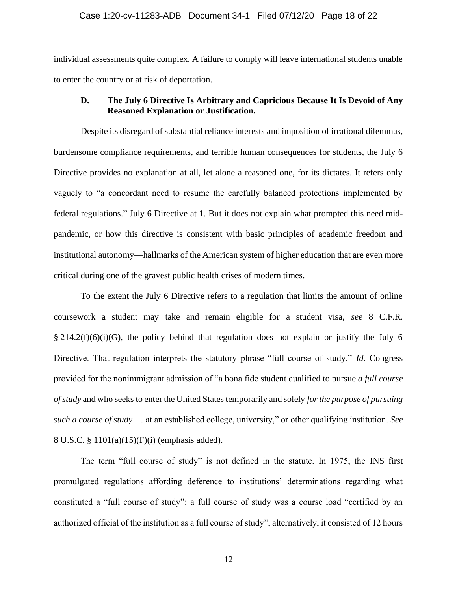individual assessments quite complex. A failure to comply will leave international students unable to enter the country or at risk of deportation.

# **D. The July 6 Directive Is Arbitrary and Capricious Because It Is Devoid of Any Reasoned Explanation or Justification.**

Despite its disregard of substantial reliance interests and imposition of irrational dilemmas, burdensome compliance requirements, and terrible human consequences for students, the July 6 Directive provides no explanation at all, let alone a reasoned one, for its dictates. It refers only vaguely to "a concordant need to resume the carefully balanced protections implemented by federal regulations." July 6 Directive at 1. But it does not explain what prompted this need midpandemic, or how this directive is consistent with basic principles of academic freedom and institutional autonomy—hallmarks of the American system of higher education that are even more critical during one of the gravest public health crises of modern times.

To the extent the July 6 Directive refers to a regulation that limits the amount of online coursework a student may take and remain eligible for a student visa, *see* 8 C.F.R.  $\S 214.2(f)(6)(i)(G)$ , the policy behind that regulation does not explain or justify the July 6 Directive. That regulation interprets the statutory phrase "full course of study." *Id.* Congress provided for the nonimmigrant admission of "a bona fide student qualified to pursue *a full course of study* and who seeks to enter the United States temporarily and solely *for the purpose of pursuing such a course of study* … at an established college, university," or other qualifying institution. *See*  8 U.S.C. § 1101(a)(15)(F)(i) (emphasis added).

The term "full course of study" is not defined in the statute. In 1975, the INS first promulgated regulations affording deference to institutions' determinations regarding what constituted a "full course of study": a full course of study was a course load "certified by an authorized official of the institution as a full course of study"; alternatively, it consisted of 12 hours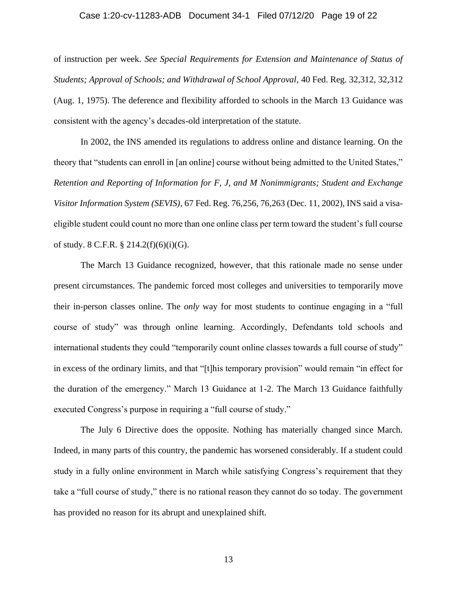#### Case 1:20-cv-11283-ADB Document 34-1 Filed 07/12/20 Page 19 of 22

of instruction per week. *See Special Requirements for Extension and Maintenance of Status of Students; Approval of Schools; and Withdrawal of School Approval*, 40 Fed. Reg. 32,312, 32,312 (Aug. 1, 1975). The deference and flexibility afforded to schools in the March 13 Guidance was consistent with the agency's decades-old interpretation of the statute.

In 2002, the INS amended its regulations to address online and distance learning. On the theory that "students can enroll in [an online] course without being admitted to the United States," *Retention and Reporting of Information for F, J, and M Nonimmigrants; Student and Exchange Visitor Information System (SEVIS)*, 67 Fed. Reg. 76,256, 76,263 (Dec. 11, 2002), INS said a visaeligible student could count no more than one online class per term toward the student's full course of study. 8 C.F.R.  $\S 214.2(f)(6)(i)(G)$ .

The March 13 Guidance recognized, however, that this rationale made no sense under present circumstances. The pandemic forced most colleges and universities to temporarily move their in-person classes online. The *only* way for most students to continue engaging in a "full course of study" was through online learning. Accordingly, Defendants told schools and international students they could "temporarily count online classes towards a full course of study" in excess of the ordinary limits, and that "[t]his temporary provision" would remain "in effect for the duration of the emergency." March 13 Guidance at 1-2. The March 13 Guidance faithfully executed Congress's purpose in requiring a "full course of study."

The July 6 Directive does the opposite. Nothing has materially changed since March. Indeed, in many parts of this country, the pandemic has worsened considerably. If a student could study in a fully online environment in March while satisfying Congress's requirement that they take a "full course of study," there is no rational reason they cannot do so today. The government has provided no reason for its abrupt and unexplained shift.

13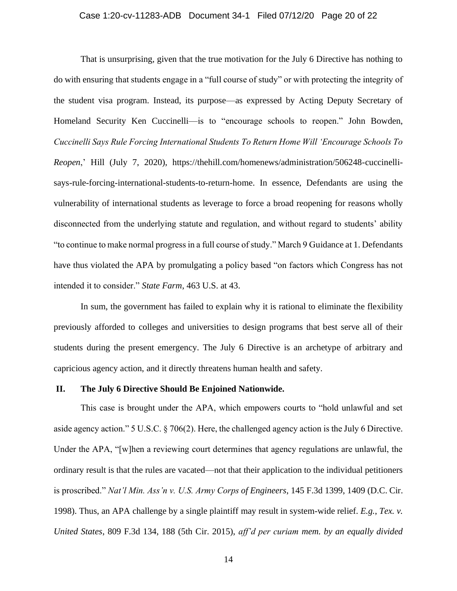# Case 1:20-cv-11283-ADB Document 34-1 Filed 07/12/20 Page 20 of 22

That is unsurprising, given that the true motivation for the July 6 Directive has nothing to do with ensuring that students engage in a "full course of study" or with protecting the integrity of the student visa program. Instead, its purpose—as expressed by Acting Deputy Secretary of Homeland Security Ken Cuccinelli—is to "encourage schools to reopen." John Bowden, *Cuccinelli Says Rule Forcing International Students To Return Home Will 'Encourage Schools To Reopen*,' Hill (July 7, 2020), https://thehill.com/homenews/administration/506248-cuccinellisays-rule-forcing-international-students-to-return-home. In essence, Defendants are using the vulnerability of international students as leverage to force a broad reopening for reasons wholly disconnected from the underlying statute and regulation, and without regard to students' ability "to continue to make normal progress in a full course of study." March 9 Guidance at 1. Defendants have thus violated the APA by promulgating a policy based "on factors which Congress has not intended it to consider." *State Farm*, 463 U.S. at 43.

In sum, the government has failed to explain why it is rational to eliminate the flexibility previously afforded to colleges and universities to design programs that best serve all of their students during the present emergency. The July 6 Directive is an archetype of arbitrary and capricious agency action, and it directly threatens human health and safety.

#### **II. The July 6 Directive Should Be Enjoined Nationwide.**

This case is brought under the APA, which empowers courts to "hold unlawful and set aside agency action." 5 U.S.C. § 706(2). Here, the challenged agency action is the July 6 Directive. Under the APA, "[w]hen a reviewing court determines that agency regulations are unlawful, the ordinary result is that the rules are vacated—not that their application to the individual petitioners is proscribed." *Nat'l Min. Ass'n v. U.S. Army Corps of Engineers*, 145 F.3d 1399, 1409 (D.C. Cir. 1998). Thus, an APA challenge by a single plaintiff may result in system-wide relief. *E.g.*, *Tex. v. United States*, 809 F.3d 134, 188 (5th Cir. 2015), *aff'd per curiam mem. by an equally divided*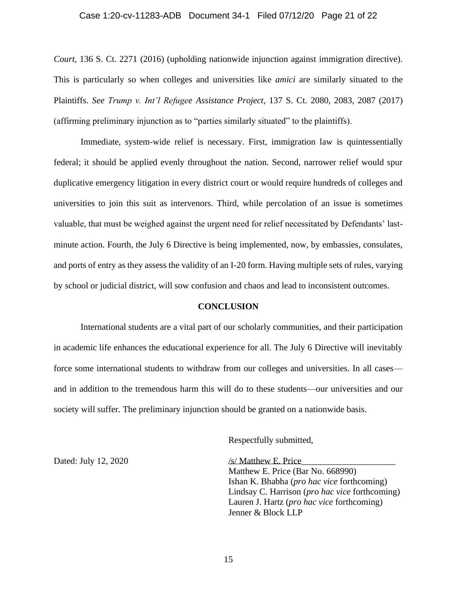#### Case 1:20-cv-11283-ADB Document 34-1 Filed 07/12/20 Page 21 of 22

*Court*, 136 S. Ct. 2271 (2016) (upholding nationwide injunction against immigration directive). This is particularly so when colleges and universities like *amici* are similarly situated to the Plaintiffs. *See Trump v. Int'l Refugee Assistance Project*, 137 S. Ct. 2080, 2083, 2087 (2017) (affirming preliminary injunction as to "parties similarly situated" to the plaintiffs).

Immediate, system-wide relief is necessary. First, immigration law is quintessentially federal; it should be applied evenly throughout the nation. Second, narrower relief would spur duplicative emergency litigation in every district court or would require hundreds of colleges and universities to join this suit as intervenors. Third, while percolation of an issue is sometimes valuable, that must be weighed against the urgent need for relief necessitated by Defendants' lastminute action. Fourth, the July 6 Directive is being implemented, now, by embassies, consulates, and ports of entry as they assess the validity of an I-20 form. Having multiple sets of rules, varying by school or judicial district, will sow confusion and chaos and lead to inconsistent outcomes.

#### **CONCLUSION**

International students are a vital part of our scholarly communities, and their participation in academic life enhances the educational experience for all. The July 6 Directive will inevitably force some international students to withdraw from our colleges and universities. In all cases and in addition to the tremendous harm this will do to these students—our universities and our society will suffer. The preliminary injunction should be granted on a nationwide basis.

Respectfully submitted,

Dated: July 12, 2020 /s/ Matthew E. Price Matthew E. Price (Bar No. 668990) Ishan K. Bhabha (*pro hac vice* forthcoming) Lindsay C. Harrison (*pro hac vice* forthcoming) Lauren J. Hartz (*pro hac vice* forthcoming) Jenner & Block LLP